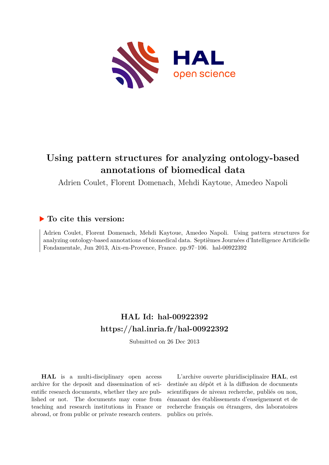

## **Using pattern structures for analyzing ontology-based annotations of biomedical data**

Adrien Coulet, Florent Domenach, Mehdi Kaytoue, Amedeo Napoli

### **To cite this version:**

Adrien Coulet, Florent Domenach, Mehdi Kaytoue, Amedeo Napoli. Using pattern structures for analyzing ontology-based annotations of biomedical data. Septièmes Journées d'Intelligence Artificielle Fondamentale, Jun 2013, Aix-en-Provence, France. pp.97-106. hal-00922392

### **HAL Id: hal-00922392 <https://hal.inria.fr/hal-00922392>**

Submitted on 26 Dec 2013

**HAL** is a multi-disciplinary open access archive for the deposit and dissemination of scientific research documents, whether they are published or not. The documents may come from teaching and research institutions in France or abroad, or from public or private research centers.

L'archive ouverte pluridisciplinaire **HAL**, est destinée au dépôt et à la diffusion de documents scientifiques de niveau recherche, publiés ou non, émanant des établissements d'enseignement et de recherche français ou étrangers, des laboratoires publics ou privés.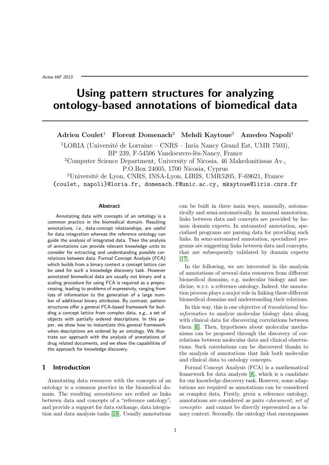# Using pattern structures for analyzing ontology-based annotations of biomedical data

Adrien Coulet<sup>1</sup> Florent Domenach<sup>2</sup> Mehdi Kaytoue<sup>3</sup> Amedeo Napoli<sup>1</sup>

<sup>1</sup>LORIA (Université de Lorraine – CNRS – Inria Nancy Grand Est, UMR 7503), BP 239, F-54506 Vandoeuvre-lès-Nancy, France

<sup>2</sup>Computer Science Department, University of Nicosia, 46 Makedonitissas Av.,

P.O.Box 24005, 1700 Nicosia, Cyprus

<sup>3</sup>Université de Lyon, CNRS, INSA-Lyon, LIRIS, UMR5205, F-69621, France

{coulet, napoli}@loria.fr, domenach.f@unic.ac.cy, mkaytoue@liris.cnrs.fr

#### Abstract

Annotating data with concepts of an ontology is a common practice in the biomedical domain. Resulting annotations, i.e., data-concept relationships, are useful for data integration whereas the reference ontology can guide the analysis of integrated data. Then the analysis of annotations can provide relevant knowledge units to consider for extracting and understanding possible correlations between data. Formal Concept Analysis (FCA) which builds from a binary context a concept lattice can be used for such a knowledge discovery task. However annotated biomedical data are usually not binary and a scaling procedure for using FCA is required as a preprocessing, leading to problems of expressivity, ranging from loss of information to the generation of a large number of additional binary attributes. By contrast, pattern structures offer a general FCA-based framework for building a concept lattice from complex data, e.g., a set of objects with partially ordered descriptions. In this paper, we show how to instantiate this general framework when descriptions are ordered by an ontology. We illustrate our approach with the analysis of annotations of drug related documents, and we show the capabilities of the approach for knowledge discovery.

#### 1 Introduction

Annotating data resources with the concepts of an ontology is a common practice in the biomedical domain. The resulting *annotations* are reified as links between data and concepts of a "reference ontology", and provide a support for data exchange, data integration and data analysis tasks [\[18\]](#page-10-0). Usually annotations

can be built in three main ways, manually, automatically and semi-automatically. In manual annotation, links between data and concepts are provided by human domain experts. In automated annotation, specialized programs are parsing data for providing such links. In semi-automated annotation, specialized programs are suggesting links between data and concepts, that are subsequently validated by domain experts [\[17\]](#page-10-1).

In the following, we are interested in the analysis of annotations of several data resources from different biomedical domains, e.g. molecular biology and medicine, w.r.t. a reference ontology. Indeed, the annotation process plays a major role in linking these different biomedical domains and understanding their relations.

In this way, this is one objective of *translational bioinformatics* to analyze molecular biology data along with clinical data for discovering correlations between them [\[6\]](#page-10-2). Then, hypotheses about molecular mechanisms can be proposed through the discovery of correlations between molecular data and clinical observations. Such correlations can be discovered thanks to the analysis of annotations that link both molecular and clinical data to ontology concepts.

Formal Concept Analysis (FCA) is a mathematical framework for data analysis [\[8\]](#page-10-3), which is a candidate for our knowledge discovery task. However, some adaptations are required as annotations can be considered as complex data. Firstly, given a reference ontology, annotations are considered as pairs <*document, set of concepts*> and cannot be directly represented as a binary context. Secondly, the ontology that encompasses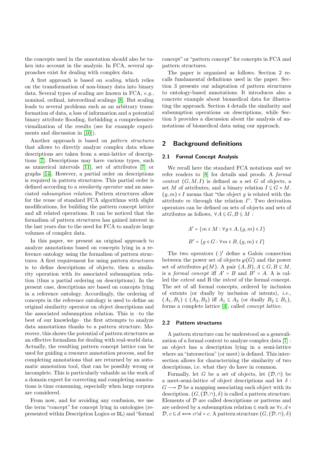the concepts used in the annotation should also be taken into account in the analysis. In FCA, several approaches exist for dealing with complex data.

A first approach is based on *scaling*, which relies on the transformation of non-binary data into binary data. Several types of scaling are known in FCA, *e.g.*, nominal, ordinal, interordinal scalings [\[8\]](#page-10-3). But scaling leads to several problems such as an arbitrary transformation of data, a loss of information and a potential binary attribute flooding, forbidding a comprehensive visualization of the results (see for example experiments and discussion in [\[10\]](#page-10-4)).

Another approach is based on *pattern structures* that allows to directly analyze complex data whose descriptions are taken from a semi-lattice of descriptions [\[7\]](#page-10-5). Descriptions may have various types, such as numerical intervals [\[11\]](#page-10-6), set of attributes [\[7\]](#page-10-5) or graphs [\[14\]](#page-10-7). However, a partial order on descriptions is required in pattern structures. This partial order is defined according to a *similarity operator* and an associated *subsumption relation*. Pattern structures allow for the reuse of standard FCA algorithms with slight modifications, for building the pattern concept lattice and all related operations. It can be noticed that the formalism of pattern structures has gained interest in the last years due to the need for FCA to analyze large volumes of complex data.

In this paper, we present an original approach to analyze annotations based on concepts lying in a reference ontology using the formalism of pattern structures. A first requirement for using pattern structures is to define descriptions of objects, then a similarity operation with its associated subsumption relation (thus a partial ordering on descriptions). In the present case, descriptions are based on concepts lying in a reference ontology. Accordingly, the ordering of concepts in the reference ontology is used to define an original similarity operator on object descriptions and the associated subsumption relation. This is –to the best of our knowledge– the first attempts to analyze data annotations thanks to a pattern structure. Moreover, this shows the potential of pattern structures as an effective formalism for dealing with real-world data. Actually, the resulting pattern concept lattice can be used for guiding a resource annotation process, and for completing annotations that are returned by an automatic annotation tool, that can be possibly wrong or incomplete. This is particularly valuable as the work of a domain expert for correcting and completing annotations is time consuming, especially when large corpora are considered.

From now, and for avoiding any confusion, we use the term "concept" for concept lying in ontologies (represented within Description Logics or DL) and "formal concept" or "pattern concept" for concepts in FCA and pattern structures.

The paper is organized as follows. Section 2 recalls fundamental definitions used in the paper. Section 3 presents our adaptation of pattern structures to ontology-based annotations. It introduces also a concrete example about biomedical data for illustrating the approach. Section 4 details the similarity and subsumption operations on descriptions, while Section 5 provides a discussion about the analysis of annotations of biomedical data using our approach.

#### 2 Background definitions

#### 2.1 Formal Concept Analysis

We recall here the standard FCA notations and we refer readers to [\[8\]](#page-10-3) for details and proofs. A *formal context*  $(G, M, I)$  is defined as a set G of objects, a set M of attributes, and a binary relation  $I \subseteq G \times M$ .  $(g, m) \in I$  means that "the object g is related with the attribute  $m$  through the relation  $I$ ". Two derivation operators can be defined on sets of objects and sets of attributes as follows,  $\forall A \subseteq G, B \subseteq M$ :

$$
A' = \{ m \in M : \forall g \in A, (g, m) \in I \}
$$

$$
B' = \{ g \in G : \forall m \in B, (g, m) \in I \}
$$

The two operators  $(·)'$  define a Galois connection between the power set of objects  $\mathcal{P}(G)$  and the power set of attributes  $\wp(M)$ . A pair  $(A, B), A \subseteq G, B \subseteq M$ , is a *formal concept* iff  $A' = B$  and  $B' = A$ . A is called the *extent* and B the *intent* of the formal concept. The set of all formal concepts, ordered by inclusion of extents (or dually by inclusion of intents), *i.e.*,  $(A_1, B_1) \leq (A_2, B_2)$  iff  $A_1 \subseteq A_2$  (or dually  $B_2 \subseteq B_1$ ), forms a complete lattice [\[4\]](#page-10-8), called *concept lattice*.

#### <span id="page-2-0"></span>2.2 Pattern structures

A pattern structure can be understood as a generalization of a formal context to analyze complex data [\[7\]](#page-10-5) : an object has a description lying in a semi-lattice where an "intersection" (or meet) is defined. This intersection allows for characterizing the similarity of two descriptions, i.e. what they do have in common.

Formally, let G be a set of objects, let  $(\mathcal{D}, \Box)$  be a meet-semi-lattice of object descriptions and let  $\delta$ :  $G \longrightarrow \mathcal{D}$  be a mapping associating each object with its description.  $(G,(\mathcal{D},\sqcap),\delta)$  is called a pattern structure. Elements of  $D$  are called descriptions or patterns and are ordered by a subsumption relation  $\subseteq$  such as  $\forall c, d \in$  $\mathcal{D}, c \in d \Longleftrightarrow c \cap d = c$ . A pattern structure  $(G, (\mathcal{D}, \cap), \delta)$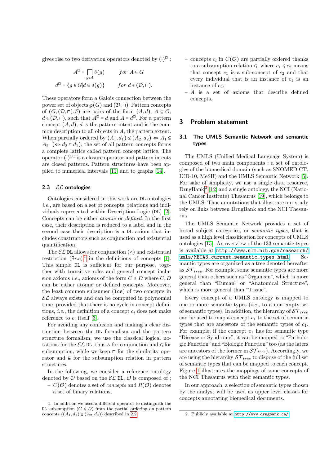gives rise to two derivation operators denoted by  $(·)$ <sup> $\Box$ </sup>:

$$
A^{\Box} = \bigcap_{g \in A} \delta(g) \qquad for \ A \subseteq G
$$

$$
d^{\Box} = \{ g \in G | d \subseteq \delta(g) \} \qquad for \ d \in (\mathcal{D}, \sqcap).
$$

These operators form a Galois connection between the power set of objects  $\wp(G)$  and  $(\mathcal{D}, \sqcap)$ . Pattern concepts of  $(G,(\mathcal{D},\sqcap),\delta)$  are pairs of the form  $(A,d), A \subseteq G$ ,  $d \in (\mathcal{D}, \Box)$ , such that  $A^{\Box} = d$  and  $A = d^{\Box}$ . For a pattern concept  $(A, d)$ , d is the pattern intent and is the common description to all objects in A, the pattern extent. When partially ordered by  $(A_1, d_1) \leq (A_2, d_2) \Leftrightarrow A_1 \subseteq$  $A_2 \; (\Leftrightarrow d_2 \in d_1)$ , the set of all pattern concepts forms a complete lattice called pattern concept lattice. The operator  $(·)^{\square \square}$  is a closure operator and pattern intents are closed patterns. Pattern structures have been applied to numerical intervals [\[11\]](#page-10-6) and to graphs [\[14\]](#page-10-7).

#### 2.3  $\mathcal{EL}$  ontologies

Ontologies considered in this work are DL ontologies *i.e.*, are based on a set of concepts, relations and individuals represented within Description Logic (DL) [\[2\]](#page-9-0). Concepts can be either *atomic* or *defined*. In the first case, their description is reduced to a label and in the second case their description is a DL axiom that includes constructors such as conjunction and existential quantification.

The  $\mathcal{EL}$  DL allows for conjunction ( $\wedge$ ) and existential restriction  $(\exists r.c)^1$  $(\exists r.c)^1$  in the definitions of concepts [\[1\]](#page-9-1). This simple DL is sufficient for our purpose, together with transitive roles and general concept inclusion axioms *i.e.*, axioms of the form  $C \le D$  where  $C, D$ can be either atomic or defined concepts. Moreover, the least common subsumer (lcs) of two concepts in  $\mathcal{EL}$  always exists and can be computed in polynomial time, provided that there is no cycle in concept definitions, *i.e.*, the definition of a concept  $c_i$  does not make reference to  $c_i$  itself [\[3\]](#page-10-9).

For avoiding any confusion and making a clear distinction between the DL formalism and the pattern structure formalism, we use the classical logical notations for the  $\mathcal{EL}$  DL, thus  $\land$  for conjunction and  $\leq$  for subsumption, while we keep ⊓ for the similarity operator and ⊑ for the subsumption relation in pattern structures.

In the following, we consider a reference ontology denoted by  $\mathcal O$  based on the  $\mathcal {EL}$  DL.  $\mathcal O$  is composed of :

–  $C(\mathcal{O})$  denotes a set of *concepts* and  $R(\mathcal{O})$  denotes a set of binary relations,

- concepts  $c_i$  in  $C(\mathcal{O})$  are partially ordered thanks to a subsumption relation  $\leq$ , where  $c_1 \leq c_2$  means that concept  $c_1$  is a sub-concept of  $c_2$  and that every individual that is an instance of  $c_1$  is an instance of  $c_2$ ,
- A is a set of axioms that describe defined concepts.

#### 3 Problem statement

#### 3.1 The UMLS Semantic Network and semantic types

The UMLS (Unified Medical Language System) is composed of two main components : a set of ontologies of the biomedical domain (such as SNOMED CT, ICD-10, MeSH) and the UMLS Semantic Network [\[5\]](#page-10-10). For sake of simplicity, we use a single data resource, DrugBank [2](#page-3-1) [\[12\]](#page-10-11) and a single ontology, the NCI (National Cancer Institute) Thesaurus [\[19\]](#page-10-12), which belongs to the UMLS. Thus annotations that illustrate our study rely on links between DrugBank and the NCI Thesaurus.

The UMLS Semantic Network provides a set of broad subject categories, or *semantic types*, that is used as a high level classification for concepts of UMLS ontologies [\[15\]](#page-10-13). An overview of the 133 semantic types is available at [http://www.nlm.nih.gov/research/](http://www.nlm.nih.gov/research/umls/META3_current_semantic_types.html) [umls/META3\\_current\\_semantic\\_types.html](http://www.nlm.nih.gov/research/umls/META3_current_semantic_types.html). Semantic types are organized as a tree denoted hereafter as  $ST_{tree}$ . For example, some semantic types are more general than others such as "Organism", which is more general than "Human" or "Anatomical Structure", which is more general than "Tissue".

Every concept of a UMLS ontology is mapped to one or more semantic types (*i.e.*, to a non-empty set of semantic types). In addition, the hierarchy of  $ST_{tree}$ can be used to map a concept  $c_1$  to the set of semantic types that are ancestors of the semantic types of  $c_1$ . For example, if the concept  $c_1$  has for semantic type "Disease or Syndrome", it can be mapped to "Pathologic Function" and "Biologic Function" too (as the laters are ancestors of the former in  $ST_{tree}$ ). Accordingly, we are using the hierarchy  $ST_{tree}$  to dispose of the full set of semantic types that can be mapped to each concept. Figure [1](#page-4-0) illustrates the mappings of some concepts of the NCI Thesaurus with their semantic types.

In our approach, a selection of semantic types chosen by the analyst will be used as upper level classes for concepts annotating biomedical documents.

<span id="page-3-0"></span><sup>1.</sup> In addition we used a different operator to distinguish the DL subsumption  $(C \le D)$  from the partial ordering on pattern concepts  $((A_1, d_1) \leq (A_2, d_2))$  described in [2.2.](#page-2-0)

<span id="page-3-1"></span><sup>2.</sup> Publicly available at <http://www.drugbank.ca/>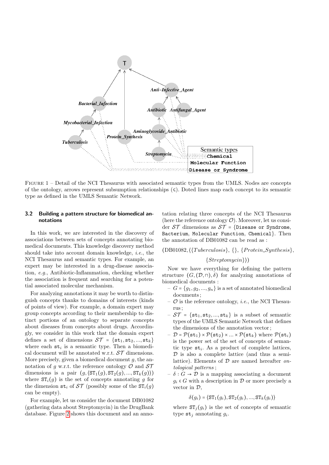

<span id="page-4-0"></span>Figure 1 – Detail of the NCI Thesaurus with associated semantic types from the UMLS. Nodes are concepts of the ontology, arrows represent subsumption relationships  $(\le)$ . Doted lines map each concept to its semantic type as defined in the UMLS Semantic Network.

#### 3.2 Building a pattern structure for biomedical annotations

In this work, we are interested in the discovery of associations between sets of concepts annotating biomedical documents. This knowledge discovery method should take into account domain knowledge, *i.e.*, the NCI Thesaurus and semantic types. For example, an expert may be interested in a drug-disease association, *e.g.*, Antibiotic-Inflammation, checking whether the association is frequent and searching for a potential associated molecular mechanism.

For analyzing annotations it may be worth to distinguish concepts thanks to domains of interests (kinds of points of view). For example, a domain expert may group concepts according to their membership to distinct portions of an ontology to separate concepts about diseases from concepts about drugs. Accordingly, we consider in this work that the domain expert defines a set of dimensions  $ST = \{st_1, st_2, ..., st_k\}$ where each  $st_i$  is a semantic type. Then a biomedical document will be annotated w.r.t.  $ST$  dimensions. More precisely, given a biomedical document  $g$ , the annotation of g w.r.t. the reference ontology  $\mathcal O$  and  $\mathcal{ST}$ dimensions is a pair  $(g, \langle ST_1(g), ST_2(g), ..., ST_k(g) \rangle)$ where  $ST_i(g)$  is the set of concepts annotating g for the dimension  $st_i$  of  $ST$  (possibly some of the  $ST_i(g)$ ) can be empty).

For example, let us consider the document DB01082 (gathering data about Streptomycin) in the DrugBank database. Figure [2](#page-5-0) shows this document and an anno-

tation relating three concepts of the NCI Thesaurus (here the reference ontology  $\mathcal{O}$ ). Moreover, let us consider  $ST$  dimensions as  $ST = \{D$ isease or Syndrome, Bacterium, Molecular Function, Chemical}. Then the annotation of DB01082 can be read as :

 $(DB01082, \{\{Tuberculosis\},\{\},\{Pretein\_Synthesis\},\$ 

#### ${Streptomycin}$

Now we have everything for defining the pattern structure  $(G,(\mathcal{D},\sqcap),\delta)$  for analyzing annotations of biomedical documents :

- $-G = \{g_1, g_2, ..., g_n\}$  is a set of annotated biomedical documents ;
- $\mathcal{O}$  is the reference ontology, *i.e.*, the NCI Thesaurus ;
- $S\mathcal{T} = {\mathsf{st}_1, \mathsf{st}_2, ..., \mathsf{st}_k}$  is a subset of semantic types of the UMLS Semantic Network that defines the dimensions of the annotation vector ;
- $-\mathcal{D} = \mathcal{P}(\mathsf{st}_1) \times \mathcal{P}(\mathsf{st}_2) \times ... \times \mathcal{P}(\mathsf{st}_k)$  where  $\mathcal{P}(\mathsf{st}_i)$ is the power set of the set of concepts of semantic type  $st_i$ . As a product of complete lattices,  $\mathcal D$  is also a complete lattice (and thus a semilattice). Elements of D are named hereafter *ontological patterns* ;
- $\delta : G \to \mathcal{D}$  is a mapping associating a document  $g_i \in G$  with a description in  $\mathcal D$  or more precisely a vector in D,

$$
\delta(g_i) = \langle \text{ST}_1(g_i), \text{ST}_2(g_i), ..., \text{ST}_k(g_i) \rangle
$$

where  $ST_j(g_i)$  is the set of concepts of semantic type  $st_j$  annotating  $g_i$ .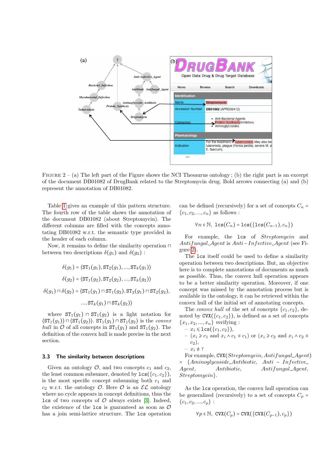

<span id="page-5-0"></span>FIGURE  $2 - (a)$  The left part of the Figure shows the NCI Thesaurus ontology; (b) the right part is an excerpt of the document DB01082 of DrugBank related to the Streptomycin drug. Bold arrows connecting (a) and (b) represent the annotation of DB01082.

Table [1](#page-6-0) gives an example of this pattern structure. The fourth row of the table shows the annotation of the document DB01082 (about Streptomycin). The different columns are filled with the concepts annotating DB01082 w.r.t. the semantic type provided in the header of each column.

Now, it remains to define the similarity operation ⊓ between two descriptions  $\delta(q_1)$  and  $\delta(q_2)$ :

$$
\delta(g_1) = \langle \text{ST}_1(g_1), \text{ST}_2(g_1), ..., \text{ST}_k(g_1) \rangle
$$

$$
\delta(g_2) = \langle \text{ST}_1(g_2), \text{ST}_2(g_2), ..., \text{ST}_k(g_2) \rangle
$$

$$
\delta(g_1) \sqcap \delta(g_2) = \langle \text{ST}_1(g_1) \sqcap \text{ST}_1(g_2), \text{ST}_2(g_1) \sqcap \text{ST}_2(g_2),
$$

$$
\dots, \text{ST}_k(g_1) \sqcap \text{ST}_k(g_2) \rangle
$$

where  $ST_1(g_1) \cap ST_1(g_2)$  is a light notation for  $\langle ST_1(g_1)\rangle \cap \langle ST_1(g_2)\rangle$ .  $ST_1(g_1) \cap ST_1(g_2)$  is the *convex hull* in  $\mathcal{O}$  of all concepts in  $ST_1(g_1)$  and  $ST_1(g_2)$ . The definition of the convex hull is made precise in the next section.

#### 3.3 The similarity between descriptions

Given an ontology  $\mathcal{O}$ , and two concepts  $c_1$  and  $c_2$ , the least common subsumer, denoted by  $lcs({c_1, c_2})$ , is the most specific concept subsuming both  $c_1$  and  $c_2$  w.r.t. the ontology  $\mathcal O$ . Here  $\mathcal O$  is an  $\mathcal E\mathcal L$  ontology where no cycle appears in concept definitions, thus the **lcs** of two concepts of  $\mathcal{O}$  always exists [\[3\]](#page-10-9). Indeed, the existence of the lcs is guaranteed as soon as  $\mathcal O$ has a join semi-lattice structure. The lcs operation can be defined (recursively) for a set of concepts  $C_n$  =  ${c_1, c_2, ..., c_n}$  as follows :

$$
\forall n \in \mathbb{N}, \ \texttt{lcs}(C_n) = \texttt{lcs}(\{\texttt{lcs}(C_{n-1}), c_n\})
$$

For example, the lcs of Streptomycin and Antifungal Agent is Anti−Infective Agent (see Figure [2\)](#page-5-0).

The lcs itself could be used to define a similarity operation between two descriptions. But, an objective here is to complete annotations of documents as much as possible. Thus, the convex hull operation appears to be a better similarity operation. Moreover, if one concept was missed by the annotation process but is available in the ontology, it can be retrieved within the convex hull of the initial set of annotating concepts.

The *convex hull* of the set of concepts  $\{c_1, c_2\}$ , denoted by  $CVX(\lbrace c_1, c_2 \rbrace)$ , is defined as a set of concepts  ${x_1, x_2, ..., x_n}$  verifying :

$$
- x_i \leqslant \texttt{lcs}(\{c_1, c_2\}),
$$

–  $(x_i \geq c_1 \text{ and } x_i \wedge c_1 \equiv c_1) \text{ or } (x_i \geq c_2 \text{ and } x_i \wedge c_2 \equiv c_1$  $c_2$ ),

$$
- \ x_i \not\equiv \top
$$

For example,  $CVX(Step to mycin, Antifungal\_Agent)$ = {Aminoglycoside Antibiotic, Anti − Infective Agent, Antibiotic, Antifungal\_Agent, Streptomycin}.

As the lcs operation, the convex hull operation can be generalized (recursively) to a set of concepts  $C_p$  =  ${c_1, c_2, ..., c_p}$  :

$$
\forall p \in \mathbb{N}, \text{CVX}(C_p) = \text{CVX}(\{\text{CVX}(C_{p-1}), c_p\})
$$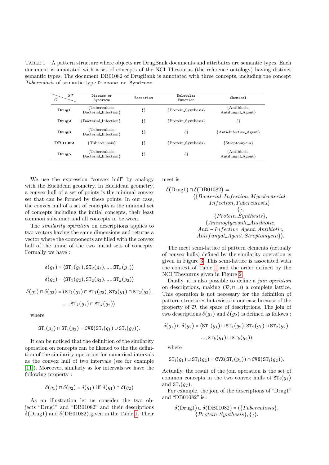<span id="page-6-0"></span>TABLE  $1 - A$  pattern structure where objects are DrugBank documents and attributes are semantic types. Each document is annotated with a set of concepts of the NCI Thesaurus (the reference ontology) having distinct semantic types. The document DB01082 of DrugBank is annotated with three concepts, including the concept *Tuberculosis* of semantic type Disease or Syndrome.

| $S\mathcal{T}$<br>G | Disease or<br>Syndrome                 | Bacterium | Molecular<br>Function | Chemical                          |
|---------------------|----------------------------------------|-----------|-----------------------|-----------------------------------|
| Drug1               | {Tuberculosis,<br>Bacterial_Infection} | ₹}        | {Protein_Synthesis}   | {Antibiotic,<br>Antifungal_Agent} |
| Drug2               | {Bacterial_Infection}                  | {}        | {Protein_Synthesis}   |                                   |
| Drug3               | {Tuberculosis,<br>Bacterial_Infection} | {}        | ₹}                    | {Anti-Infective_Agent}            |
| DB01082             | {Tuberculosis}                         | {}        | {Protein_Synthesis}   | {Streptomycin}                    |
| Drug5               | {Tuberculosis.<br>Bacterial_Infection} | $\{\}$    | ┨┠                    | {Antibiotic,<br>Antifungal_Agent} |

We use the expression "convex hull" by analogy with the Euclidean geometry. In Euclidean geometry, a convex hull of a set of points is the minimal convex set that can be formed by these points. In our case, the convex hull of a set of concepts is the minimal set of concepts including the initial concepts, their least common subsumer and all concepts in between.

The *similarity operation* on descriptions applies to two vectors having the same dimensions and returns a vector where the components are filled with the convex hull of the union of the two initial sets of concepts. Formally we have :

$$
\delta(g_1) = \langle \text{ST}_1(g_1), \text{ST}_2(g_1), ..., \text{ST}_k(g_1) \rangle
$$

$$
\delta(g_2) = \langle \text{ST}_1(g_2), \text{ST}_2(g_2), ..., \text{ST}_k(g_2) \rangle
$$

$$
\delta(g_1) \cap \delta(g_2) = \langle \text{ST}_1(g_1) \cap \text{ST}_1(g_2), \text{ST}_2(g_1) \cap \text{ST}_2(g_2),
$$

$$
..., \text{ST}_k(g_1) \cap \text{ST}_k(g_2) \rangle
$$

where

$$
\texttt{ST}_i(g_1) \sqcap \texttt{ST}_i(g_2) = \texttt{CVX}(\texttt{ST}_i(g_1) \cup \texttt{ST}_i(g_2)).
$$

It can be noticed that the definition of the similarity operation on concepts can be likened to the the definition of the similarity operation for numerical intervals as the convex hull of two intervals (see for example [\[11\]](#page-10-6)). Moreover, similarly as for intervals we have the following property :

$$
\delta(g_1) \cap \delta(g_2) = \delta(g_1) \text{ iff } \delta(g_1) \subseteq \delta(g_2)
$$

As an illustration let us consider the two objects "Drug1" and "DB01082" and their descriptions  $\delta$ (Drug1) and  $\delta$ (DB01082) given in the Table [1.](#page-6-0) Their

meet is

$$
\delta(Drug1) \cap \delta(DB01082) =
$$
  
\n
$$
\langle \{Bacterial\_Infection, Mycobacterial\_Infection, Tuberculosis\},\{\}
$$
  
\n
$$
\{\},\{\}
$$
  
\n
$$
\{Protein\_Synthesis\},\{\
$$
  
\n
$$
\{Aminoglycoside\_Antibiotic,\
$$
  
\n
$$
Anti-Infective\_Agent, Antibiotic,\
$$
  
\n
$$
Antifungal\_Agent, Streptomycin\}.
$$

The meet semi-lattice of pattern elements (actually of convex hulls) defined by the similarity operation is given in Figure [3.](#page-7-0) This semi-lattice is associated with the context of Table [1](#page-6-0) and the order defined by the NCI Thesaurus given in Figure [2.](#page-5-0)

Dually, it is also possible to define a *join operation* on descriptions, making  $(\mathcal{D}, \sqcap, \sqcup)$  a complete lattice. This operation is not necessary for the definition of pattern structures but exists in our case because of the property of  $\mathcal{D}$ , the space of descriptions. The join of two descriptions  $\delta(q_1)$  and  $\delta(q_2)$  is defined as follows :

$$
\delta(g_1) \sqcup \delta(g_2) = \langle \operatorname{ST}_1(g_1) \sqcup \operatorname{ST}_1(g_2), \operatorname{ST}_2(g_1) \sqcup \operatorname{ST}_2(g_2),\right.
$$

...,  $ST_k(g_1) \sqcup ST_k(g_2)$ 

where

$$
\mathsf{ST}_i(g_1) \sqcup \mathsf{ST}_i(g_2) = \mathsf{CVX}(\mathsf{ST}_i(g_1)) \cap \mathsf{CVX}(\mathsf{ST}_i(g_2)).
$$

Actually, the result of the join operation is the set of common concepts in the two convex hulls of  $ST_i(q_1)$ and  $ST_i(q_2)$ .

For example, the join of the descriptions of "Drug1" and "DB01082" is :

$$
\delta(Drug1) \sqcup \delta(DB01082) = \{\{Tuberculosis\},\}
$$
\n
$$
\{Protein\_Synthesis\}, \{\}\}.
$$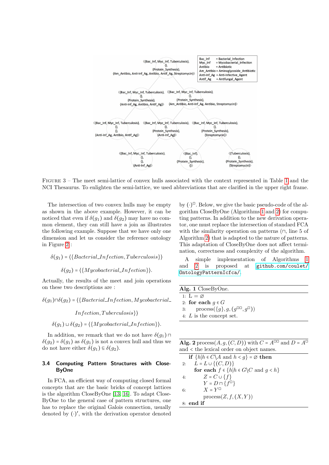

<span id="page-7-0"></span>Figure 3 – The meet semi-lattice of convex hulls associated with the context represented in Table [1](#page-6-0) and the NCI Thesaurus. To enlighten the semi-lattice, we used abbreviations that are clarified in the upper right frame.

The intersection of two convex hulls may be empty as shown in the above example. However, it can be noticed that even if  $\delta(g_1)$  and  $\delta(g_2)$  may have no common element, they can still have a join as illustrates the following example. Suppose that we have only one dimension and let us consider the reference ontology in Figure [2](#page-5-0) :

$$
\delta(g_1) = \langle \{Bacterial\_Infection, Tuberculosis\} \rangle
$$

$$
\delta(g_2) = \langle \{Mycobacterial\_Infection\} \rangle.
$$

Actually, the results of the meet and join operations on these two descriptions are :

 $\delta(g_1)$ ⊓δ $(g_2)$  = {{Bacterial\_Infection, Mycobacterial\_

 $Infection, Tuberculosis\})$ 

$$
\delta(g_1) \sqcup \delta(g_2) = \langle \{Mycobacterial\_Infection\} \rangle.
$$

In addition, we remark that we do not have  $\delta(g_1) \sqcap$  $\delta(g_2) = \delta(g_1)$  as  $\delta(g_1)$  is not a convex hull and thus we do not have either  $\delta(g_1) \subseteq \delta(g_2)$ .

#### <span id="page-7-3"></span>3.4 Computing Pattern Structures with Close-ByOne

In FCA, an efficient way of computing closed formal concepts that are the basic bricks of concept lattices is the algorithm CloseByOne [\[13,](#page-10-14) [16\]](#page-10-15). To adapt Close-ByOne to the general case of pattern structures, one has to replace the original Galois connection, usually denoted by (⋅)′ , with the derivation operator denoted

by  $(\cdot)^\square$ . Below, we give the basic pseudo-code of the algorithm CloseByOne (Algorithms [1](#page-7-1) and [2\)](#page-7-2) for computing patterns. In addition to the new derivation operator, one must replace the intersection of standard FCA with the similarity operation on patterns (⊓, line 5 of Algorithm [2\)](#page-7-2) that is adapted to the nature of patterns. This adaptation of CloseByOne does not affect termination, correctness and complexity of the algorithm.

A simple implementation of Algorithms [1](#page-7-1) and [2](#page-7-2) is proposed at [github.com/coulet/](github.com/coulet/OntologyPatternIcfca/) [OntologyPatternIcfca/](github.com/coulet/OntologyPatternIcfca/).

<span id="page-7-1"></span>

| Alg. 1 CloseByOne.                                      |  |
|---------------------------------------------------------|--|
| 1: $L = \emptyset$                                      |  |
| 2: for each $g \in G$                                   |  |
| 3: $\text{process}(\{g\}, g, (g^{\Box\Box}, g^{\Box}))$ |  |
| 4. L is the concept set.                                |  |

Alg. 2 process $(A, g, (C, D))$  with  $C = A^{\square \square}$  and  $D = A^{\square}$ and < the lexical order on object names.

<span id="page-7-2"></span>

|             | if $\{h   h \in C \setminus A \text{ and } h < g\} = \emptyset$ then |  |
|-------------|----------------------------------------------------------------------|--|
| 2:          | $L = L \cup \{(C, D)\}\$                                             |  |
|             | for each $f \in \{h   h \in G \backslash C \text{ and } g \leq h\}$  |  |
| 4:          | $Z = C \cup \{f\}$                                                   |  |
|             | $Y = D \sqcap \{f^{\Box}\}\$                                         |  |
| 6:          | $X = Y^{\square}$                                                    |  |
|             | $\text{process}(Z, f, (X, Y))$                                       |  |
| $8:$ end if |                                                                      |  |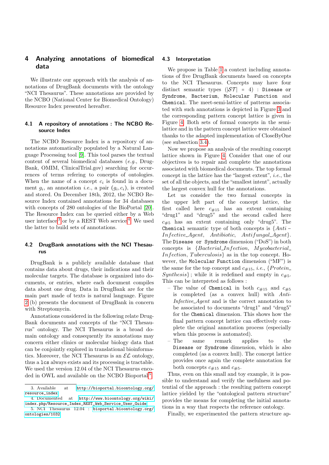#### 4 Analyzing annotations of biomedical data

We illustrate our approach with the analysis of annotations of DrugBank documents with the ontology "NCI Thesaurus". These annotations are provided by the NCBO (National Center for Biomedical Ontology) Resource Index presented hereafter.

#### 4.1 A repository of annotations : The NCBO Resource Index

The NCBO Resource Index is a repository of annotations automatically populated by a Natural Language Processing tool [\[9\]](#page-10-16). This tool parses the textual content of several biomedical databases (*e.g.*, Drug-Bank, OMIM, ClinicalTrial.gov) searching for occurrences of terms refering to concepts of ontologies. When the name of a concept  $c_i$  is found in a document  $g_i$ , an annotation *i.e.*, a pair  $(g_i, c_i)$ , is created and stored. On December 18th, 2012, the NCBO Resource Index contained annotations for 34 databases with concepts of 280 ontologies of the BioPortal [\[20\]](#page-10-17). The Resource Index can be queried either by a Web user interface<sup>[3](#page-8-0)</sup> or by a REST Web service<sup>[4](#page-8-1)</sup>. We used the latter to build sets of annotations.

#### 4.2 DrugBank annotations with the NCI Thesaurus

DrugBank is a publicly available database that contains data about drugs, their indications and their molecular targets. The database is organized into documents, or entries, where each document compiles data about one drug. Data in DrugBank are for the main part made of texts is natural language. Figure [2](#page-5-0) (b) presents the document of DrugBank in concern with Streptomycin.

Annotations considered in the following relate Drug-Bank documents and concepts of the "NCI Thesaurus" ontology. The NCI Thesaurus is a broad domain ontology and consequently its annotations may concern either clinics or molecular biology data that can be conjointly explored in translational bioinformatics. Moreover, the NCI Thesaurus is an  $\mathcal{EL}$  ontology, thus a lcs always exists and its processing is tractable. We used the version 12.04 of the NCI Thesaurus enco-ded in OWL and available on the NCBO Bioportal<sup>[5](#page-8-2)</sup>.

#### 4.3 Interpretation

We propose in Table [1](#page-6-0) a context including annotations of five DrugBank documents based on concepts to the NCI Thesaurus. Concepts may have four distinct semantic types  $(|\mathcal{ST}| = 4)$  : Disease or Syndrome, Bacterium, Molecular Function and Chemical. The meet-semi-lattice of patterns associated with such annotations is depicted in Figure [3](#page-7-0) and the corresponding pattern concept lattice is given in Figure [4.](#page-9-2) Both sets of formal concepts in the semilattice and in the pattern concept lattice were obtained thanks to the adapted implementation of CloseByOne (see subsection [3.4\)](#page-7-3).

Now we propose an analysis of the resulting concept lattice shown in Figure [4.](#page-9-2) Consider that one of our objectives is to repair and complete the annotations associated with biomedical documents. The top formal concept in the lattice has the "largest extent", *i.e.*, the set of all the objects, and the "smallest intent", actually the largest convex hull for the annotations.

Let us consider the two formal concepts in the upper left part of the concept lattice, the first called here  $c_{\text{#15}}$  has an extent containing "drug1" and "drug5" and the second called here  $c_{\#5}$  has an extent containing only "drug5". The Chemical semantic type of both concepts is  $\{Anti -$ Infective Agent, Antibiotic, Antifungal Agent}. The Disease or Syndrome dimension ("DoS") in both concepts is {Bacterial\_Infection, Mycobacterial\_ Infection, Tuberculosis} as in the top concept. However, the Molecular Function dimension ("MF") is the same for the top concept and  $c_{\#15}$ , *i.e.*, {*Protein*\_ Synthesis}; while it is redefined and empty in  $c_{\#5}$ . This can be interpreted as follows :

- The value of Chemical in both  $c_{\#15}$  and  $c_{\#5}$ is completed (as a convex hull) with *Anti-Infective Agent* and is the correct annotation to be associated to documents "drug1" and "drug5" for the Chemical dimension. This shows how the final pattern concept lattice can effectively complete the original annotation process (especially when this process is automated).
- The same remark applies to the Disease or Syndrome dimension, which is also completed (as a convex hull). The concept lattice provides once again the complete annotation for both concepts  $c_{\text{#15}}$  and  $c_{\text{#5}}$ .

Thus, even on this small and toy example, it is possible to understand and verify the usefulness and potential of the approach : the resulting pattern concept lattice yielded by the "ontological pattern structure" provides the means for completing the initial annotations in a way that respects the reference ontology.

Finally, we experimented the pattern structure ap-

<span id="page-8-0"></span><sup>3.</sup> Available at [http://bioportal.bioontology.org/](http://bioportal.bioontology.org/resource_index) [resource\\_index](http://bioportal.bioontology.org/resource_index)

<span id="page-8-1"></span><sup>4.</sup> Documented at [http://www.bioontology.org/wiki/](http://www.bioontology.org/wiki/index.php/Resource_Index_REST_Web_Service_User_Guide) [index.php/Resource\\_Index\\_REST\\_Web\\_Service\\_User\\_Guide](http://www.bioontology.org/wiki/index.php/Resource_Index_REST_Web_Service_User_Guide)

<span id="page-8-2"></span><sup>5.</sup> NCI Thesaurus 12.04 : [bioportal.bioontology.org/](bioportal.bioontology.org/ontologies/1032) [ontologies/1032](bioportal.bioontology.org/ontologies/1032)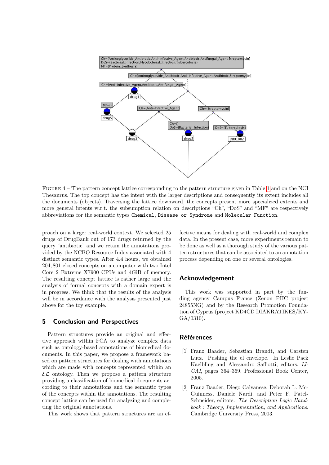

<span id="page-9-2"></span>Figure 4 – The pattern concept lattice corresponding to the pattern structure given in Table [1](#page-6-0) and on the NCI Thesaurus. The top concept has the intent with the larger descriptions and consequently its extent includes all the documents (objects). Traversing the lattice downward, the concepts present more specialized extents and more general intents w.r.t. the subsumption relation on descriptions "Ch", "DoS" and "MF" are respectively abbreviations for the semantic types Chemical, Disease or Syndrome and Molecular Function.

proach on a larger real-world context. We selected 25 drugs of DrugBank out of 173 drugs returned by the query "antibiotic" and we retain the annotations provided by the NCBO Resource Index associated with 4 distinct semantic types. After 4.4 hours, we obtained 204, 801 closed concepts on a computer with two Intel Core 2 Extreme X7900 CPUs and 4GiB of memory. The resulting concept lattice is rather large and the analysis of formal concepts with a domain expert is in progress. We think that the results of the analysis will be in accordance with the analysis presented just above for the toy example.

#### 5 Conclusion and Perspectives

Pattern structures provide an original and effective approach within FCA to analyze complex data such as ontology-based annotations of biomedical documents. In this paper, we propose a framework based on pattern structures for dealing with annotations which are made with concepts represented within an  $\mathcal{EL}$  ontology. Then we propose a pattern structure providing a classification of biomedical documents according to their annotations and the semantic types of the concepts within the annotations. The resulting concept lattice can be used for analyzing and completing the original annotations.

This work shows that pattern structures are an ef-

fective means for dealing with real-world and complex data. In the present case, more experiments remain to be done as well as a thorough study of the various pattern structures that can be associated to an annotation process depending on one or several ontologies.

#### Acknowledgement

This work was supported in part by the funding agency Campus France (Zenon PHC project 24855NG) and by the Research Promotion Foundation of Cyprus (project KD4CD DIAKRATIKES/KY-GA/0310).

#### **Références**

- <span id="page-9-1"></span>[1] Franz Baader, Sebastian Brandt, and Carsten Lutz. Pushing the el envelope. In Leslie Pack Kaelbling and Alessandro Saffiotti, editors, *IJ-CAI*, pages 364–369. Professional Book Center, 2005.
- <span id="page-9-0"></span>[2] Franz Baader, Diego Calvanese, Deborah L. Mc-Guinness, Daniele Nardi, and Peter F. Patel-Schneider, editors. *The Description Logic Handbook : Theory, Implementation, and Applications*. Cambridge University Press, 2003.